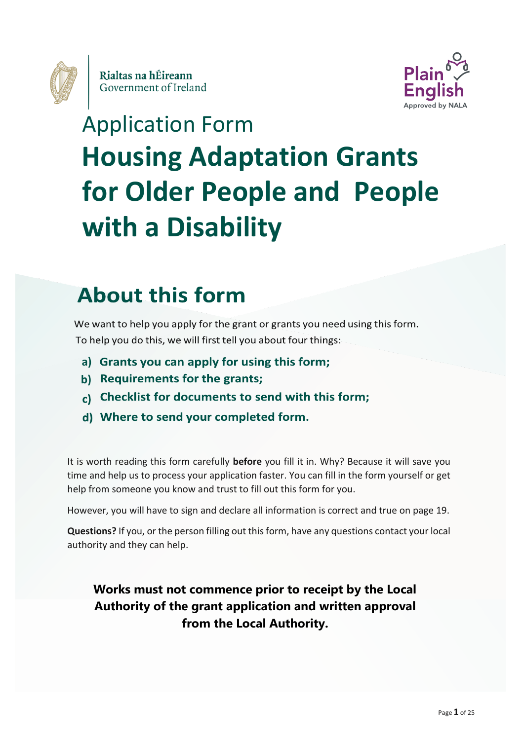

Rialtas na hÉireann Government of Ireland



# Application Form **Housing Adaptation Grants for Older People and People with a Disability**

## **About this form**

We want to help you apply for the grant or grants you need using this form. To help you do this, we will first tell you about four things:

- a) Grants you can apply for using
- b) Requirements for the grants;
- c) Checklist for documents to send with this form;
- d) Where to send your completed form.

It is worth reading this form carefully **before** you fill it in. Why? Because it will save you time and help us to process your application faster. You can fill in the form yourself or get help from someone you know and trust to fill out this form for you.

However, you will have to sign and declare all information is correct and true on page 19.

**Questions?** If you, or the person filling out this form, have any questions contact your local authority and they can help.

**Works must not commence prior to receipt by the Local Authority of the grant application and written approval from the Local Authority.**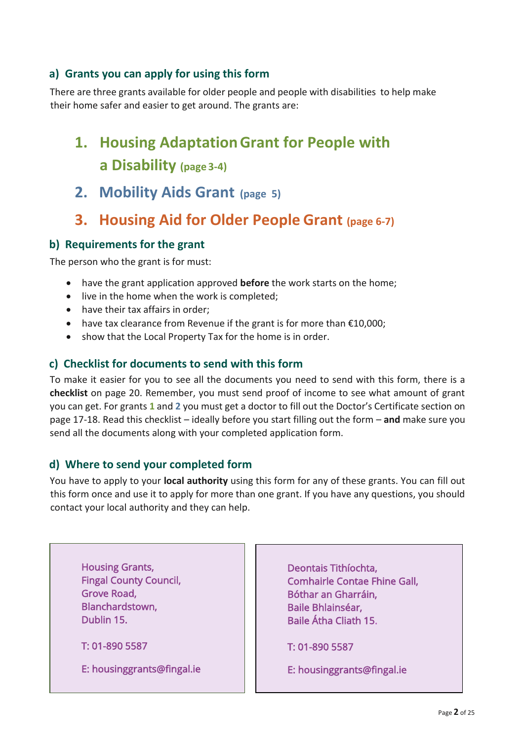#### **a) Grants you can apply for using this form**

There are three grants available for older people and people with disabilities to help make their home safer and easier to get around. The grants are:

## **1. Housing AdaptationGrant for People with a Disability (page 3-4)**

**2. Mobility Aids Grant (page 5)**

### **3. Housing Aid for Older People Grant (page 6-7)**

#### **b) Requirements for the grant**

The person who the grant is for must:

- have the grant application approved **before** the work starts on the home;
- live in the home when the work is completed;
- have their tax affairs in order;
- have tax clearance from Revenue if the grant is for more than €10,000;
- show that the Local Property Tax for the home is in order.

#### **c) Checklist for documents to send with this form**

To make it easier for you to see all the documents you need to send with this form, there is a **checklist** on page 20. Remember, you must send proof of income to see what amount of grant you can get. For grants **1** and **2** you must get a doctor to fill out the Doctor's Certificate section on page 17-18. Read this checklist – ideally before you start filling out the form – **and** make sure you send all the documents along with your completed application form.

#### **d) Where to send your completed form**

You have to apply to your **local authority** using this form for any of these grants. You can fill out this form once and use it to apply for more than one grant. If you have any questions, you should contact your local authority and they can help.

Housing Grants, Fingal County Council, Grove Road, Blanchardstown, Dublin 15.

T: 01-890 5587

E: [housinggrants@fingal.ie](mailto:housinggrants@fingal.ie) 

Deontais Tithíochta, Comhairle Contae Fhine Gall, Bóthar an Gharráin, Baile Bhlainséar, Baile Átha Cliath 15.

T: 01-890 5587

 $\overline{a}$ 

E: [housinggrants@fingal.ie](mailto:housinggrants@fingal.ie)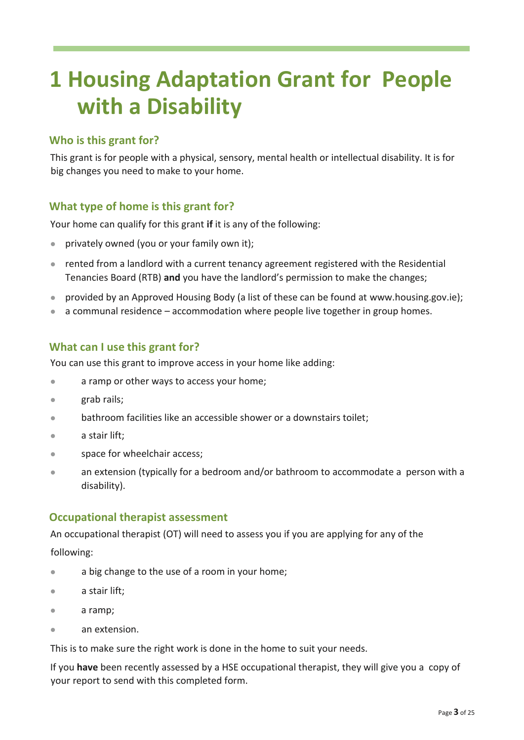## **1 Housing Adaptation Grant for People with a Disability**

#### **Who is this grant for?**

This grant is for people with a physical, sensory, mental health or intellectual disability. It is for big changes you need to make to your home.

#### **What type of home is this grant for?**

Your home can qualify for this grant **if** it is any of the following:

- privately owned (you or your family own it);
- rented from a landlord with a current tenancy agreement registered with the Residential Tenancies Board (RTB) **and** you have the landlord's permission to make the changes;
- provided by an Approved Housing Body (a list of these can be found at [www.housing.gov.ie\)](http://www.housing.gov.ie/);
- a communal residence accommodation where people live together in group homes.

#### **What can I use this grant for?**

You can use this grant to improve access in your home like adding:

- ⚫ a ramp or other ways to access your home;
- grab rails;
- bathroom facilities like an accessible shower or a downstairs toilet;
- a stair lift:
- ⚫ space for wheelchair access;
- ⚫ an extension (typically for a bedroom and/or bathroom to accommodate a person with a disability).

#### **Occupational therapist assessment**

An occupational therapist (OT) will need to assess you if you are applying for any of the

following:

- a big change to the use of a room in your home;
- a stair lift;
- a ramp;
- an extension.

This is to make sure the right work is done in the home to suit your needs.

If you **have** been recently assessed by a HSE occupational therapist, they will give you a copy of your report to send with this completed form.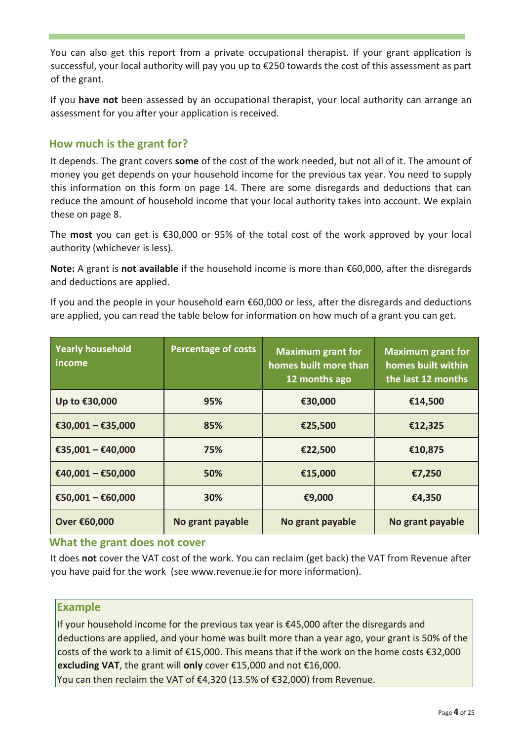You can also get this report from a private occupational therapist. If your grant application is successful, your local authority will pay you up to €250 towards the cost of this assessment as part of the grant.

If you **have not** been assessed by an occupational therapist, your local authority can arrange an assessment for you after your application is received.

#### **How much is the grant for?**

It depends. The grant covers **some** of the cost of the work needed, but not all of it. The amount of money you get depends on your household income for the previous tax year. You need to supply this information on this form on page 14. There are some disregards and deductions that can reduce the amount of household income that your local authority takes into account. We explain these on page 8.

The **most** you can get is €30,000 or 95% of the total cost of the work approved by your local authority (whichever is less).

**Note:** A grant is **not available** if the household income is more than €60,000, after the disregards and deductions are applied.

If you and the people in your household earn €60,000 or less, after the disregards and deductions are applied, you can read the table below for information on how much of a grant you can get.

| <b>Yearly household</b><br>income | <b>Percentage of costs</b> | <b>Maximum grant for</b><br>homes built more than<br>12 months ago | <b>Maximum grant for</b><br>homes built within<br>the last 12 months |
|-----------------------------------|----------------------------|--------------------------------------------------------------------|----------------------------------------------------------------------|
| Up to €30,000                     | 95%                        | €30,000                                                            | €14,500                                                              |
| €30,001 - €35,000                 | 85%                        | €25,500                                                            | €12,325                                                              |
| €35,001 - €40,000                 | 75%                        | €22,500                                                            | €10,875                                                              |
| €40,001 - €50,000                 | 50%                        | €15,000                                                            | €7,250                                                               |
| €50,001 - €60,000                 | 30%                        | €9,000                                                             | €4,350                                                               |
| Over €60,000                      | No grant payable           | No grant payable                                                   | No grant payable                                                     |

#### **What the grant does not cover**

It does **not** cover the VAT cost of the work. You can reclaim (get back) the VAT from Revenue after you have paid for the work (see www.revenue.ie for more information).

#### **Example**

If your household income for the previous tax year is €45,000 after the disregards and deductions are applied, and your home was built more than a year ago, your grant is 50% of the costs of the work to a limit of €15,000. This means that if the work on the home costs €32,000 **excluding VAT**, the grant will **only** cover €15,000 and not €16,000.

You can then reclaim the VAT of €4,320 (13.5% of €32,000) from Revenue.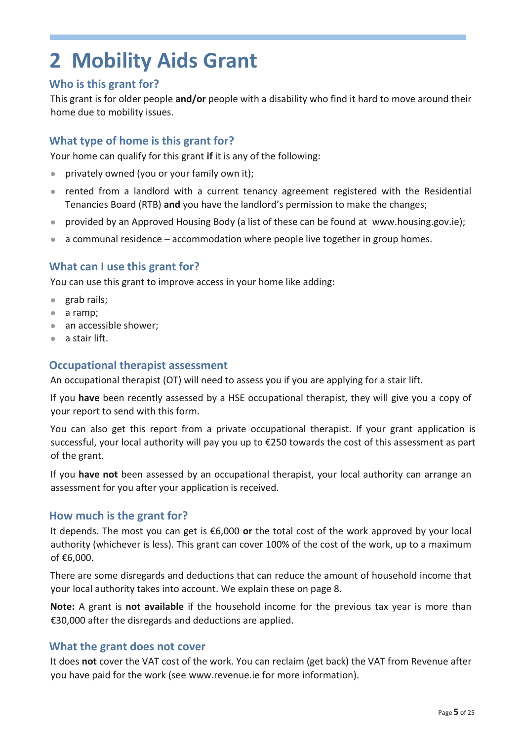## **2 Mobility Aids Grant**

#### **Who is this grant for?**

This grant is for older people **and/or** people with a disability who find it hard to move around their home due to mobility issues.

#### **What type of home is this grant for?**

Your home can qualify for this grant **if** it is any of the following:

- privately owned (you or your family own it);
- rented from a landlord with a current tenancy agreement registered with the Residential Tenancies Board (RTB) **and** you have the landlord's permission to make the changes;
- provided by an Approved Housing Body (a list of these can be found at [www.housing.gov.ie\)](http://www.housing.gov.ie/);
- a communal residence accommodation where people live together in group homes.

#### **What can I use this grant for?**

You can use this grant to improve access in your home like adding:

- grab rails;
- ⚫ a ramp;
- an accessible shower;
- a stair lift.

#### **Occupational therapist assessment**

An occupational therapist (OT) will need to assess you if you are applying for a stair lift.

If you **have** been recently assessed by a HSE occupational therapist, they will give you a copy of your report to send with this form.

You can also get this report from a private occupational therapist. If your grant application is successful, your local authority will pay you up to €250 towards the cost of this assessment as part of the grant.

If you **have not** been assessed by an occupational therapist, your local authority can arrange an assessment for you after your application is received.

#### **How much is the grant for?**

It depends. The most you can get is €6,000 **or** the total cost of the work approved by your local authority (whichever is less). This grant can cover 100% of the cost of the work, up to a maximum of €6,000.

There are some disregards and deductions that can reduce the amount of household income that your local authority takes into account. We explain these on page 8.

**Note:** A grant is **not available** if the household income for the previous tax year is more than €30,000 after the disregards and deductions are applied.

#### **What the grant does not cover**

It does **not** cover the VAT cost of the work. You can reclaim (get back) the VAT from Revenue after you have paid for the work (see [www.revenue.ie](http://www.revenue.ie/) for more information).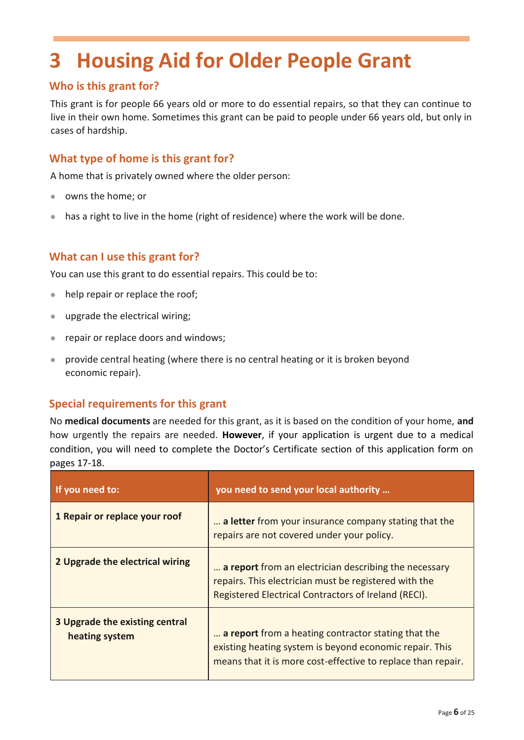## **3 Housing Aid for Older People Grant**

#### **Who is this grant for?**

This grant is for people 66 years old or more to do essential repairs, so that they can continue to live in their own home. Sometimes this grant can be paid to people under 66 years old, but only in cases of hardship.

#### **What type of home is this grant for?**

A home that is privately owned where the older person:

- ⚫ owns the home; or
- has a right to live in the home (right of residence) where the work will be done.

#### **What can I use this grant for?**

You can use this grant to do essential repairs. This could be to:

- help repair or replace the roof;
- upgrade the electrical wiring;
- repair or replace doors and windows;
- provide central heating (where there is no central heating or it is broken beyond economic repair).

#### **Special requirements for this grant**

No **medical documents** are needed for this grant, as it is based on the condition of your home, **and** how urgently the repairs are needed. **However**, if your application is urgent due to a medical condition, you will need to complete the Doctor's Certificate section of this application form on pages 17-18.

| If you need to:                                  | you need to send your local authority                                                                                                                                          |
|--------------------------------------------------|--------------------------------------------------------------------------------------------------------------------------------------------------------------------------------|
| 1 Repair or replace your roof                    | a letter from your insurance company stating that the<br>repairs are not covered under your policy.                                                                            |
| 2 Upgrade the electrical wiring                  | a report from an electrician describing the necessary<br>repairs. This electrician must be registered with the<br>Registered Electrical Contractors of Ireland (RECI).         |
| 3 Upgrade the existing central<br>heating system | a report from a heating contractor stating that the<br>existing heating system is beyond economic repair. This<br>means that it is more cost-effective to replace than repair. |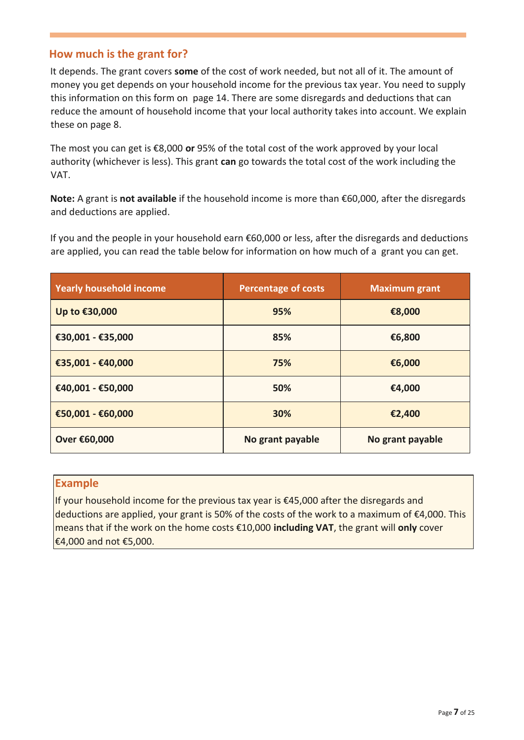#### **How much is the grant for?**

It depends. The grant covers **some** of the cost of work needed, but not all of it. The amount of money you get depends on your household income for the previous tax year. You need to supply this information on this form on page 14. There are some disregards and deductions that can reduce the amount of household income that your local authority takes into account. We explain these on page 8.

The most you can get is €8,000 **or** 95% of the total cost of the work approved by your local authority (whichever is less). This grant **can** go towards the total cost of the work including the VAT.

**Note:** A grant is **not available** if the household income is more than €60,000, after the disregards and deductions are applied.

If you and the people in your household earn €60,000 or less, after the disregards and deductions are applied, you can read the table below for information on how much of a grant you can get.

| <b>Yearly household income</b> | <b>Percentage of costs</b> | <b>Maximum grant</b> |
|--------------------------------|----------------------------|----------------------|
| Up to €30,000                  | 95%                        | €8,000               |
| €30,001 - €35,000              | 85%                        | €6,800               |
| €35,001 - €40,000              | 75%                        | €6,000               |
| €40,001 - €50,000              | 50%                        | €4,000               |
| €50,001 - €60,000              | 30%                        | €2,400               |
| Over €60,000                   | No grant payable           | No grant payable     |

#### **Example**

If your household income for the previous tax year is €45,000 after the disregards and deductions are applied, your grant is 50% of the costs of the work to a maximum of €4,000. This means that if the work on the home costs €10,000 **including VAT**, the grant will **only** cover €4,000 and not €5,000.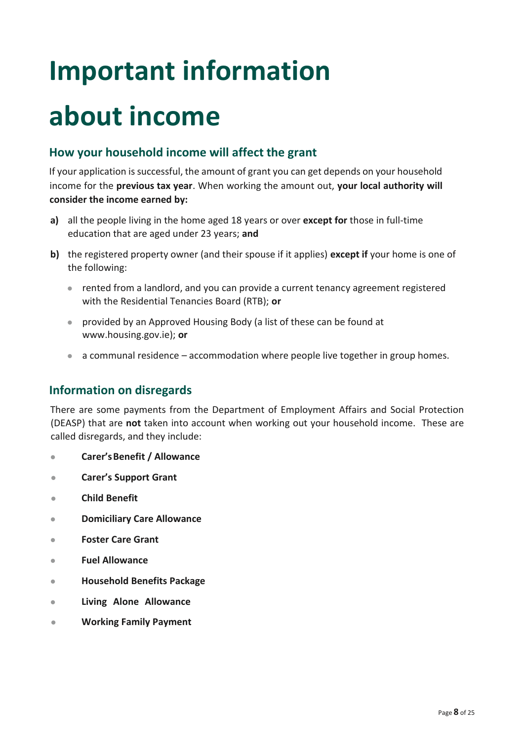# **Important information**

# **about income**

#### **How your household income will affect the grant**

If your application is successful, the amount of grant you can get depends on your household income for the **previous tax year**. When working the amount out, **your local authority will consider the income earned by:**

- **a)** all the people living in the home aged 18 years or over **except for** those in full-time education that are aged under 23 years; **and**
- **b)** the registered property owner (and their spouse if it applies) **except if** your home is one of the following:
	- rented from a landlord, and you can provide a current tenancy agreement registered with the Residential Tenancies Board (RTB); **or**
	- ⚫ provided by an Approved Housing Body (a list of these can be found at www.housing.gov.ie); **or**
	- a communal residence accommodation where people live together in group homes.

#### **Information on disregards**

There are some payments from the Department of Employment Affairs and Social Protection (DEASP) that are **not** taken into account when working out your household income. These are called disregards, and they include:

- ⚫ **Carer'sBenefit / Allowance**
- ⚫ **Carer's Support Grant**
- ⚫ **Child Benefit**
- ⚫ **Domiciliary Care Allowance**
- ⚫ **Foster Care Grant**
- ⚫ **Fuel Allowance**
- ⚫ **Household Benefits Package**
- ⚫ **Living Alone Allowance**
- ⚫ **Working Family Payment**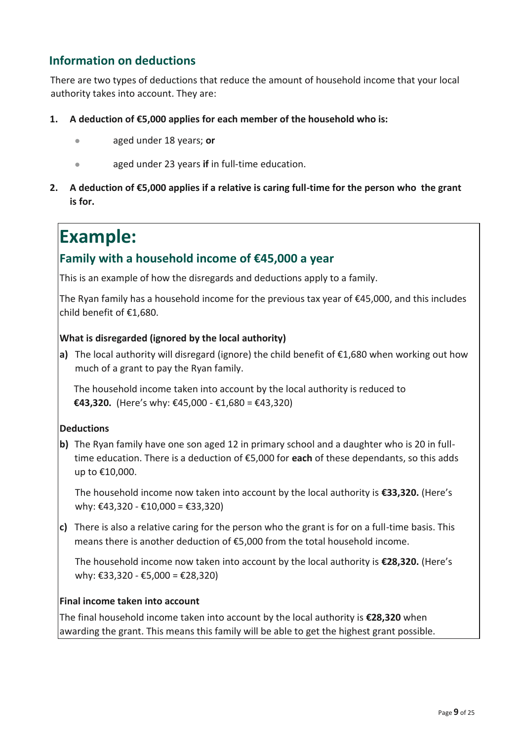#### **Information on deductions**

There are two types of deductions that reduce the amount of household income that your local authority takes into account. They are:

- **1. A deduction of €5,000 applies for each member of the household who is:**
	- ⚫ aged under 18 years; **or**
	- ⚫ aged under 23 years **if** in full-time education.
- **2. A deduction of €5,000 applies if a relative is caring full-time for the person who the grant is for.**

## **Example:**

#### **Family with a household income of €45,000 a year**

This is an example of how the disregards and deductions apply to a family.

The Ryan family has a household income for the previous tax year of  $\epsilon$ 45,000, and this includes child benefit of €1,680.

#### **What is disregarded (ignored by the local authority)**

**a)** The local authority will disregard (ignore) the child benefit of €1,680 when working out how much of a grant to pay the Ryan family.

 The household income taken into account by the local authority is reduced to  **€43,320.** (Here's why: €45,000 - €1,680 = €43,320)

#### **Deductions**

**b)** The Ryan family have one son aged 12 in primary school and a daughter who is 20 in fulltime education. There is a deduction of €5,000 for **each** of these dependants, so this adds up to €10,000.

The household income now taken into account by the local authority is **€33,320.** (Here's why: €43,320 - €10,000 = €33,320)

**c)** There is also a relative caring for the person who the grant is for on a full-time basis. This means there is another deduction of €5,000 from the total household income.

The household income now taken into account by the local authority is **€28,320.** (Here's why: €33,320 - €5,000 = €28,320)

#### **Final income taken into account**

The final household income taken into account by the local authority is **€28,320** when awarding the grant. This means this family will be able to get the highest grant possible.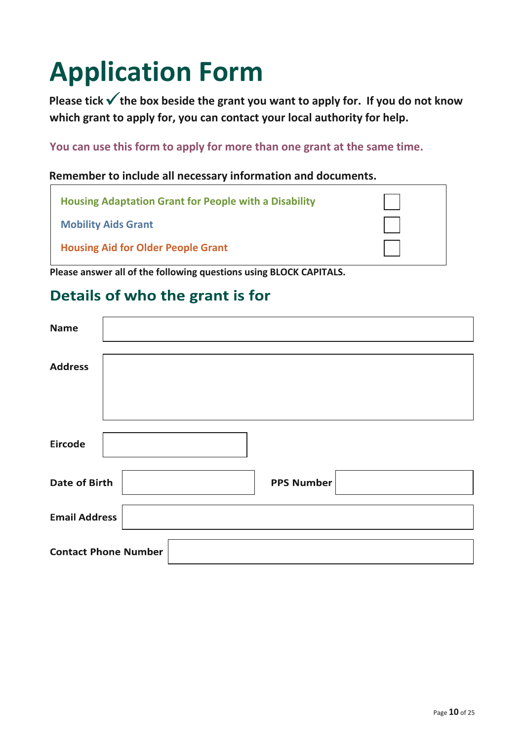# **Application Form**

Please tick  $\checkmark$  the box beside the grant you want to apply for. If you do not know **which grant to apply for, you can contact your local authority for help.** 

**You can use this form to apply for more than one grant at the same time.** 

#### **Remember to include all necessary information and documents.**

| <b>Housing Adaptation Grant for People with a Disability</b> |  |
|--------------------------------------------------------------|--|
| <b>Mobility Aids Grant</b>                                   |  |
| <b>Housing Aid for Older People Grant</b>                    |  |

**Please answer all of the following questions using BLOCK CAPITALS.**

### Details of who the grant is for

| <b>Name</b>          |                             |
|----------------------|-----------------------------|
| <b>Address</b>       |                             |
|                      |                             |
| <b>Eircode</b>       |                             |
| <b>Date of Birth</b> | <b>PPS Number</b>           |
| <b>Email Address</b> |                             |
|                      | <b>Contact Phone Number</b> |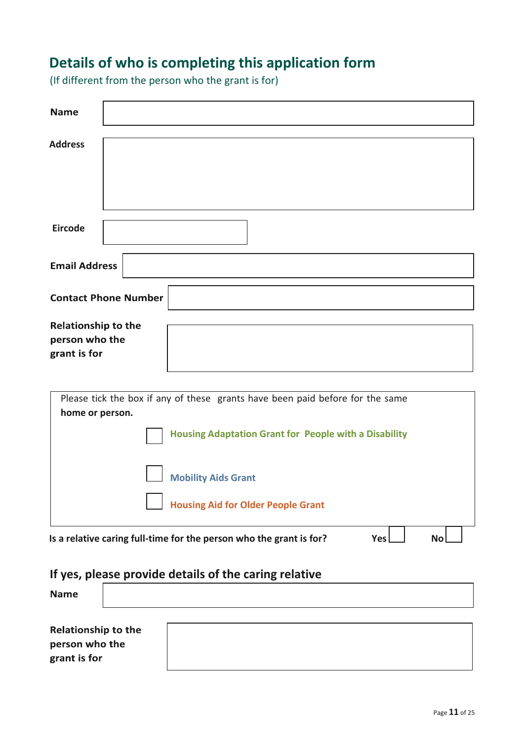### **Details of who is completing this application form**

(If different from the person who the grant is for)

| <b>Name</b>                                                  |                                                                                         |
|--------------------------------------------------------------|-----------------------------------------------------------------------------------------|
| <b>Address</b>                                               |                                                                                         |
| <b>Eircode</b>                                               |                                                                                         |
| <b>Email Address</b>                                         |                                                                                         |
|                                                              | <b>Contact Phone Number</b>                                                             |
| <b>Relationship to the</b><br>person who the<br>grant is for |                                                                                         |
|                                                              |                                                                                         |
| home or person.                                              | Please tick the box if any of these grants have been paid before for the same           |
|                                                              | <b>Housing Adaptation Grant for People with a Disability</b>                            |
|                                                              | <b>Mobility Aids Grant</b>                                                              |
|                                                              | <b>Housing Aid for Older People Grant</b>                                               |
|                                                              | Is a relative caring full-time for the person who the grant is for?<br><b>No</b><br>Yes |

### **If yes, please provide details of the caring relative**

| <b>Name</b>                                                  |  |  |  |
|--------------------------------------------------------------|--|--|--|
| <b>Relationship to the</b><br>person who the<br>grant is for |  |  |  |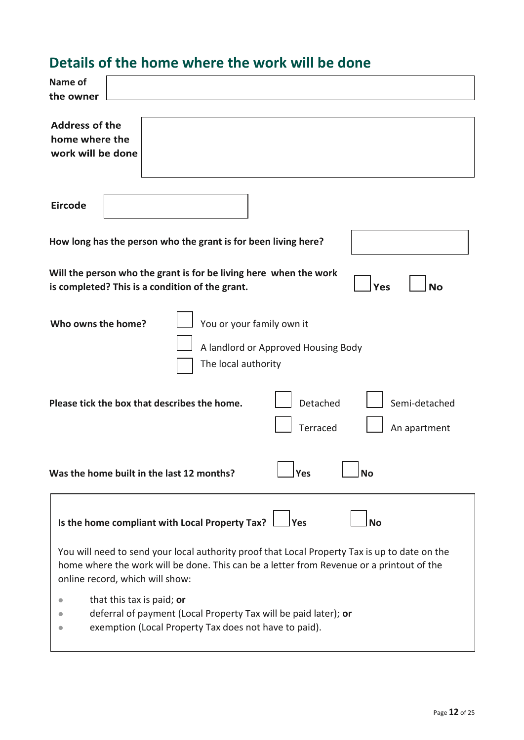### **Details of the home where the work will be done**

| Name of<br>the owner                                                                                                                                                                                                         |
|------------------------------------------------------------------------------------------------------------------------------------------------------------------------------------------------------------------------------|
| <b>Address of the</b><br>home where the<br>work will be done                                                                                                                                                                 |
| <b>Eircode</b>                                                                                                                                                                                                               |
| How long has the person who the grant is for been living here?                                                                                                                                                               |
| Will the person who the grant is for be living here when the work<br>Yes<br><b>No</b><br>is completed? This is a condition of the grant.                                                                                     |
| Who owns the home?<br>You or your family own it<br>A landlord or Approved Housing Body<br>The local authority                                                                                                                |
| Detached<br>Semi-detached<br>Please tick the box that describes the home.<br>Terraced<br>An apartment                                                                                                                        |
| Was the home built in the last 12 months?<br> Yes<br><b>No</b>                                                                                                                                                               |
| Is the home compliant with Local Property Tax?<br>l Yes<br>No                                                                                                                                                                |
| You will need to send your local authority proof that Local Property Tax is up to date on the<br>home where the work will be done. This can be a letter from Revenue or a printout of the<br>online record, which will show: |
| that this tax is paid; or<br>deferral of payment (Local Property Tax will be paid later); or<br>exemption (Local Property Tax does not have to paid).                                                                        |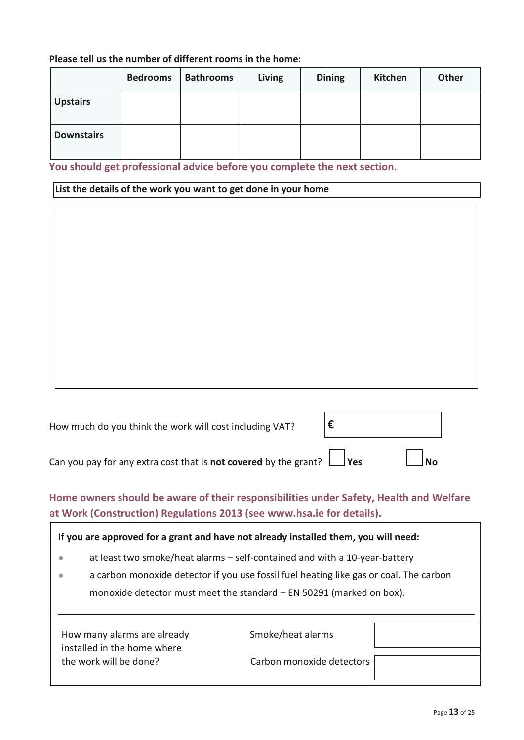#### **Please tell us the number of different rooms in the home:**

|                   | <b>Bedrooms</b> | <b>Bathrooms</b> | <b>Living</b> | <b>Dining</b> | Kitchen | <b>Other</b> |
|-------------------|-----------------|------------------|---------------|---------------|---------|--------------|
| <b>Upstairs</b>   |                 |                  |               |               |         |              |
| <b>Downstairs</b> |                 |                  |               |               |         |              |

**You should get professional advice before you complete the next section.**

#### **List the details of the work you want to get done in your home**

| How much do you think the work will cost including VAT? |  |
|---------------------------------------------------------|--|
|                                                         |  |

Can you pay for any extra cost that is **not covered** by the grant?  $\Box$  **Yes**  $\Box$  **No** 

#### **Home owners should be aware of their responsibilities under Safety, Health and Welfare at Work (Construction) Regulations 2013 (see [www.hsa.ie f](http://www.hsa.ie/)or details).**

**If you are approved for a grant and have not already installed them, you will need:**

- at least two smoke/heat alarms self-contained and with a 10-year-battery
- a carbon monoxide detector if you use fossil fuel heating like gas or coal. The carbon monoxide detector must meet the standard – EN 50291 (marked on box).

How many alarms are already Smoke/heat alarms installed in the home where the work will be done? Carbon monoxide detectors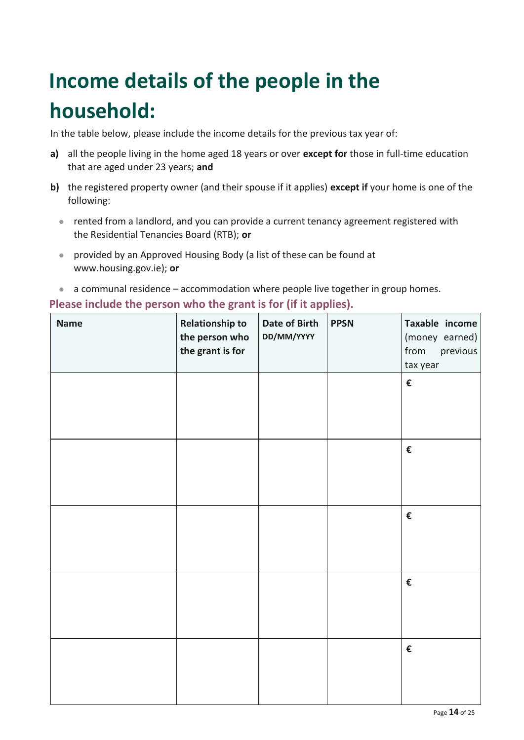## **Income details of the people in the household:**

In the table below, please include the income details for the previous tax year of:

- **a)** all the people living in the home aged 18 years or over **except for** those in full-time education that are aged under 23 years; **and**
- **b)** the registered property owner (and their spouse if it applies) **except if** your home is one of the following:
	- rented from a landlord, and you can provide a current tenancy agreement registered with the Residential Tenancies Board (RTB); **or**
	- provided by an Approved Housing Body (a list of these can be found at [www.housing.gov.ie\)](http://www.housing.gov.ie/); **or**
	- a communal residence accommodation where people live together in group homes.

**Please include the person who the grant is for (if it applies).** 

| <b>Name</b> | <b>Relationship to</b><br>the person who<br>the grant is for | Date of Birth<br>DD/MM/YYYY | <b>PPSN</b> | Taxable income<br>(money earned)<br>from<br>previous<br>tax year |
|-------------|--------------------------------------------------------------|-----------------------------|-------------|------------------------------------------------------------------|
|             |                                                              |                             |             | $\pmb{\epsilon}$                                                 |
|             |                                                              |                             |             | $\pmb{\epsilon}$                                                 |
|             |                                                              |                             |             | $\pmb{\epsilon}$                                                 |
|             |                                                              |                             |             | €                                                                |
|             |                                                              |                             |             | €                                                                |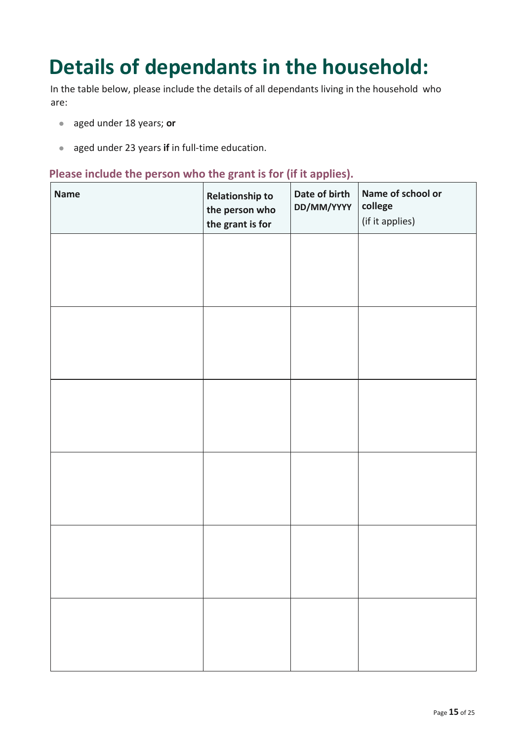## **Details of dependants in the household:**

In the table below, please include the details of all dependants living in the household who are:

- ⚫ aged under 18 years; **or**
- ⚫ aged under 23 years **if** in full-time education.

#### **Please include the person who the grant is for (if it applies).**

| <b>Name</b> | <b>Relationship to</b><br>the person who<br>the grant is for | Date of birth<br>DD/MM/YYYY | Name of school or<br>college<br>(if it applies) |
|-------------|--------------------------------------------------------------|-----------------------------|-------------------------------------------------|
|             |                                                              |                             |                                                 |
|             |                                                              |                             |                                                 |
|             |                                                              |                             |                                                 |
|             |                                                              |                             |                                                 |
|             |                                                              |                             |                                                 |
|             |                                                              |                             |                                                 |
|             |                                                              |                             |                                                 |
|             |                                                              |                             |                                                 |
|             |                                                              |                             |                                                 |
|             |                                                              |                             |                                                 |
|             |                                                              |                             |                                                 |
|             |                                                              |                             |                                                 |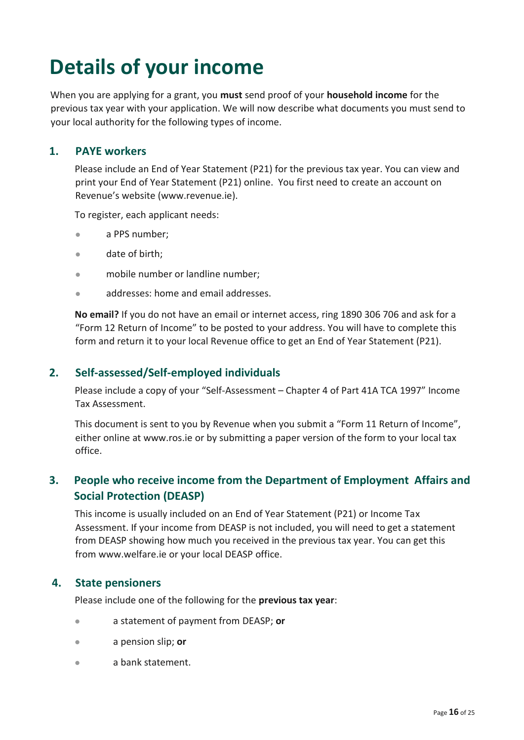## **Details of your income**

When you are applying for a grant, you **must** send proof of your **household income** for the previous tax year with your application. We will now describe what documents you must send to your local authority for the following types of income.

#### **1. PAYE workers**

Please include an End of Year Statement (P21) for the previous tax year. You can view and print your End of Year Statement (P21) online. You first need to create an account on Revenue's website [\(www.revenue.ie\)](https://www.ros.ie/myaccount-web/home.html).

To register, each applicant needs:

- a PPS number;
- date of birth;
- mobile number or landline number;
- ⚫ addresses: home and email addresses.

**No email?** If you do not have an email or internet access, ring 1890 306 706 and ask for a "Form 12 Return of Income" to be posted to your address. You will have to complete this form and return it to your local Revenue office to get an End of Year Statement (P21).

#### **2. Self-assessed/Self-employed individuals**

Please include a copy of your "Self-Assessment – Chapter 4 of Part 41A TCA 1997" Income Tax Assessment.

This document is sent to you by Revenue when you submit a "Form 11 Return of Income", either online at [www.ros.ie](http://www.ros.ie/) or by submitting a paper version of the form to your local tax office.

#### **3. People who receive income from the Department of Employment Affairs and Social Protection (DEASP)**

This income is usually included on an End of Year Statement (P21) or Income Tax Assessment. If your income from DEASP is not included, you will need to get a statement from DEASP showing how much you received in the previous tax year. You can get this from [www.welfare.ie](http://www.welfare.ie/) or your local DEASP office.

#### **4. State pensioners**

Please include one of the following for the **previous tax year**:

- ⚫ a statement of payment from DEASP; **or**
- ⚫ a pension slip; **or**
- a bank statement.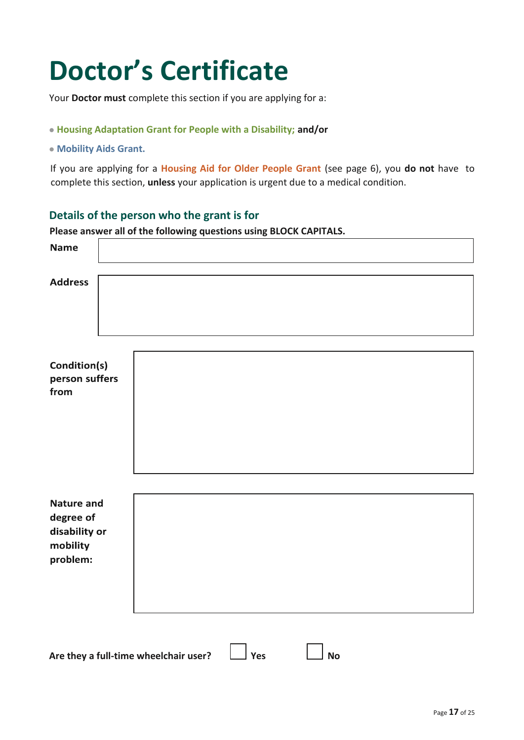# **Doctor's Certificate**

Your **Doctor must** complete this section if you are applying for a:

⚫ **Housing Adaptation Grant for People with a Disability; and/or**

⚫ **Mobility Aids Grant.**

If you are applying for a **Housing Aid for Older People Grant** (see page 6), you **do not** have to complete this section, **unless** your application is urgent due to a medical condition.

#### **Details of the person who the grant is for**

**Please answer all of the following questions using BLOCK CAPITALS.**

| <b>Name</b>                                                             |  |
|-------------------------------------------------------------------------|--|
| <b>Address</b>                                                          |  |
| Condition(s)<br>person suffers<br>from                                  |  |
| <b>Nature and</b><br>degree of<br>disability or<br>mobility<br>problem: |  |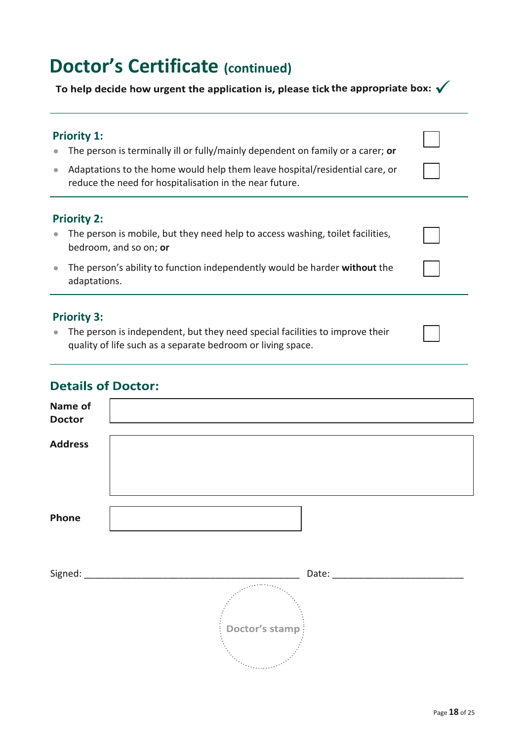## **Doctor's Certificate (continued)**

To help decide how urgent the application is, please tick the appropriate box:  $\checkmark$ 

#### **Priority 1:**

⚫ The person is terminally ill or fully/mainly dependent on family or a carer; **or**

● Adaptations to the home would help them leave hospital/residential care, or reduce the need for hospitalisation in the near future.

#### **Priority 2:**

- The person is mobile, but they need help to access washing, toilet facilities, bedroom, and so on; **or**
- ⚫ The person's ability to function independently would be harder **without** the adaptations.

#### **Priority 3:**

● The person is independent, but they need special facilities to improve their quality of life such as a separate bedroom or living space.

#### **Details of Doctor:**

| Name of<br><b>Doctor</b> |                |
|--------------------------|----------------|
| <b>Address</b>           |                |
| Phone                    |                |
|                          |                |
|                          | Doctor's stamp |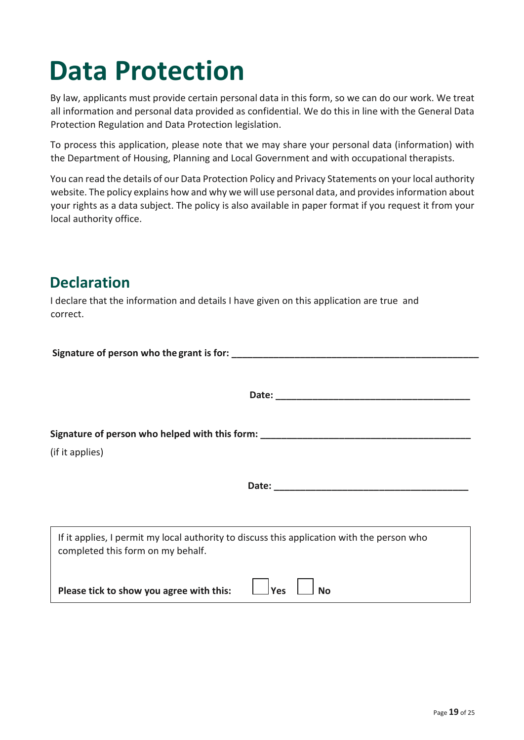# **Data Protection**

By law, applicants must provide certain personal data in this form, so we can do our work. We treat all information and personal data provided as confidential. We do this in line with the General Data Protection Regulation and Data Protection legislation.

To process this application, please note that we may share your personal data (information) with the Department of Housing, Planning and Local Government and with occupational therapists.

You can read the details of our Data Protection Policy and Privacy Statements on your local authority website. The policy explains how and why we will use personal data, and provides information about your rights as a data subject. The policy is also available in paper format if you request it from your local authority office.

### **Declaration**

**Signature of person who the grant is for: \_\_\_\_\_\_\_\_\_\_\_\_\_\_\_\_\_\_\_\_\_\_\_\_\_\_\_\_\_\_\_\_\_\_\_\_\_\_\_\_\_\_\_\_\_\_\_**

I declare that the information and details I have given on this application are true and correct.

| $\sigma$ or the contract of person will the status is for.                                                                      |  |  |  |  |
|---------------------------------------------------------------------------------------------------------------------------------|--|--|--|--|
|                                                                                                                                 |  |  |  |  |
| Signature of person who helped with this form: _________________________________                                                |  |  |  |  |
| (if it applies)                                                                                                                 |  |  |  |  |
|                                                                                                                                 |  |  |  |  |
| If it applies, I permit my local authority to discuss this application with the person who<br>completed this form on my behalf. |  |  |  |  |
| Please tick to show you agree with this:<br>Yes<br>Nο                                                                           |  |  |  |  |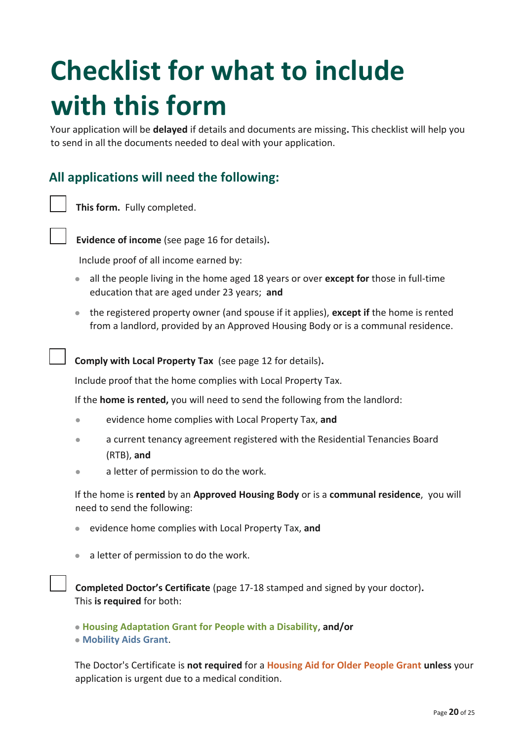# **Checklist for what to include with this form**

Your application will be **delayed** if details and documents are missing**.** This checklist will help you to send in all the documents needed to deal with your application.

#### **All applications will need the following:**

**This form.** Fully completed.



**Evidence of income** (see page 16 for details)**.** 

Include proof of all income earned by:

- all the people living in the home aged 18 years or over **except for** those in full-time education that are aged under 23 years; **and**
- the registered property owner (and spouse if it applies), **except if** the home is rented from a landlord, provided by an Approved Housing Body or is a communal residence.

 **Comply with Local Property Tax** (see page 12 for details)**.** 

Include proof that the home complies with Local Property Tax.

If the **home is rented,** you will need to send the following from the landlord:

- ⚫ evidence home complies with Local Property Tax, **and**
- ⚫ a current tenancy agreement registered with the Residential Tenancies Board (RTB), **and**
- ⚫ a letter of permission to do the work.

If the home is **rented** by an **Approved Housing Body** or is a **communal residence**, you will need to send the following:

- ⚫ evidence home complies with Local Property Tax, **and**
- a letter of permission to do the work.

 **Completed Doctor's Certificate** (page 17-18 stamped and signed by your doctor)**.**  This **is required** for both:

⚫ **Housing Adaptation Grant for People with a Disability**, **and/or**

⚫ **Mobility Aids Grant**.

The Doctor's Certificate is **not required** for a **Housing Aid for Older People Grant unless** your application is urgent due to a medical condition.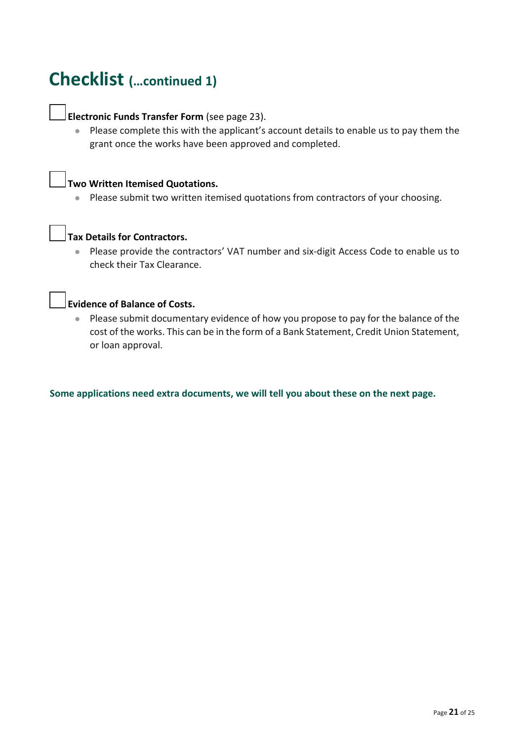## **Checklist (…continued 1)**

#### **Electronic Funds Transfer Form** (see page 23).

■ Please complete this with the applicant's account details to enable us to pay them the grant once the works have been approved and completed.



● Please submit two written itemised quotations from contractors of your choosing.



● Please provide the contractors' VAT number and six-digit Access Code to enable us to check their Tax Clearance.

#### **Evidence of Balance of Costs.**

■ Please submit documentary evidence of how you propose to pay for the balance of the cost of the works. This can be in the form of a Bank Statement, Credit Union Statement, or loan approval.

**Some applications need extra documents, we will tell you about these on the next page.**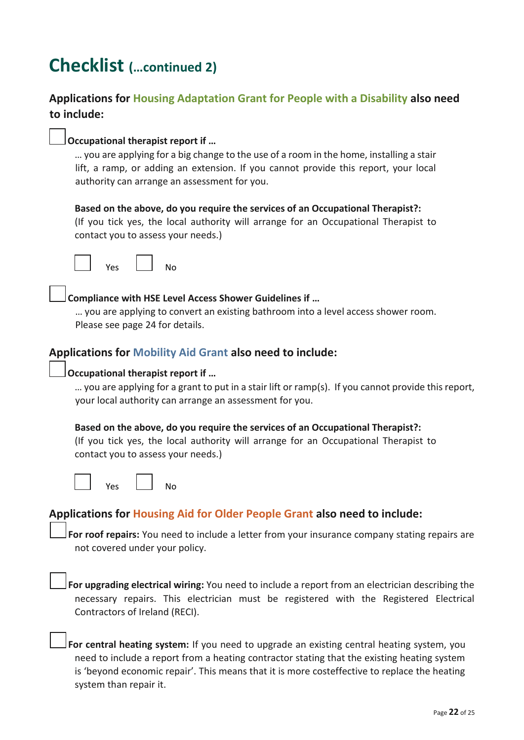## **Checklist (…continued 2)**

#### **Applications for Housing Adaptation Grant for People with a Disability also need to include:**

#### **Occupational therapist report if …**

… you are applying for a big change to the use of a room in the home, installing a stair lift, a ramp, or adding an extension. If you cannot provide this report, your local authority can arrange an assessment for you.

**Based on the above, do you require the services of an Occupational Therapist?:** (If you tick yes, the local authority will arrange for an Occupational Therapist to contact you to assess your needs.)



#### **Compliance with HSE Level Access Shower Guidelines if …**

… you are applying to convert an existing bathroom into a level access shower room. Please see page 24 for details.

#### **Applications for Mobility Aid Grant also need to include:**

#### **Occupational therapist report if …**

… you are applying for a grant to put in a stair lift or ramp(s). If you cannot provide this report, your local authority can arrange an assessment for you.

#### **Based on the above, do you require the services of an Occupational Therapist?:**

(If you tick yes, the local authority will arrange for an Occupational Therapist to contact you to assess your needs.)



#### **Applications for Housing Aid for Older People Grant also need to include:**

**For roof repairs:** You need to include a letter from your insurance company stating repairs are not covered under your policy.

**For upgrading electrical wiring:** You need to include a report from an electrician describing the necessary repairs. This electrician must be registered with the Registered Electrical Contractors of Ireland (RECI).

**For central heating system:** If you need to upgrade an existing central heating system, you need to include a report from a heating contractor stating that the existing heating system is 'beyond economic repair'. This means that it is more costeffective to replace the heating system than repair it.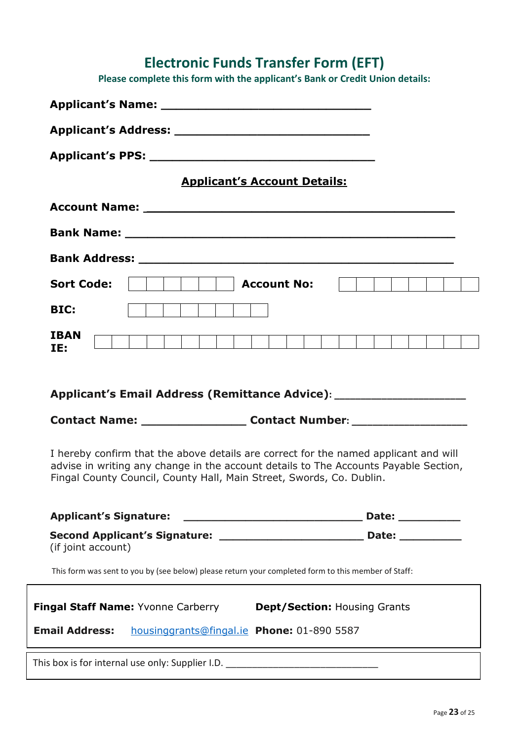| <b>Applicant's Account Details:</b>                                                                                                                                                                                                                  |                  |
|------------------------------------------------------------------------------------------------------------------------------------------------------------------------------------------------------------------------------------------------------|------------------|
|                                                                                                                                                                                                                                                      |                  |
|                                                                                                                                                                                                                                                      |                  |
|                                                                                                                                                                                                                                                      |                  |
| $\begin{array}{ c c c c c }\n\hline\n \quad  &  \quad  &  \quad  & \textbf{Account No:} \end{array}$<br><b>Sort Code:</b>                                                                                                                            |                  |
| BIC:<br>.                                                                                                                                                                                                                                            |                  |
| <b>IBAN</b><br>.<br>IE:                                                                                                                                                                                                                              |                  |
| Applicant's Email Address (Remittance Advice): _________________________________                                                                                                                                                                     |                  |
| Contact Name: ________________________ Contact Number: _________________________                                                                                                                                                                     |                  |
| I hereby confirm that the above details are correct for the named applicant and will<br>advise in writing any change in the account details to The Accounts Payable Section,<br>Fingal County Council, County Hall, Main Street, Swords, Co. Dublin. |                  |
|                                                                                                                                                                                                                                                      |                  |
| (if joint account)                                                                                                                                                                                                                                   | Date: __________ |
| This form was sent to you by (see below) please return your completed form to this member of Staff:                                                                                                                                                  |                  |

This box is for internal use only: Supplier I.D. \_\_\_\_\_\_\_\_\_\_\_\_\_\_\_\_\_\_\_\_\_\_\_\_\_\_\_\_\_\_\_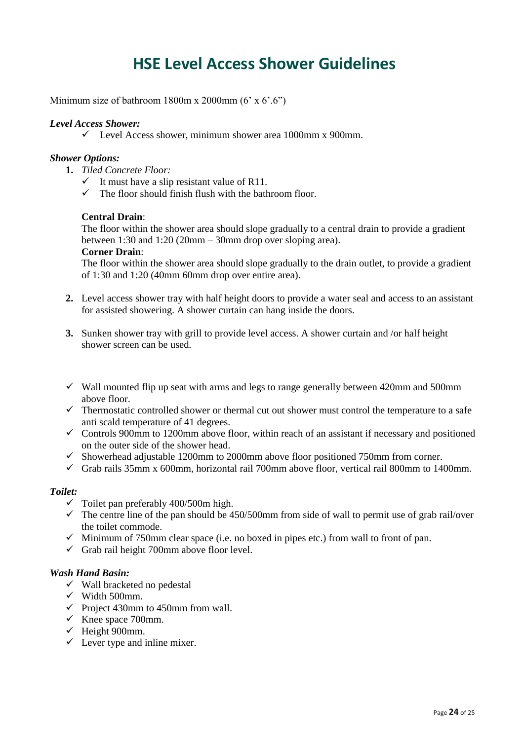### **HSE Level Access Shower Guidelines**

Minimum size of bathroom  $1800m \times 2000mm$  (6' x 6'.6")

#### *Level Access Shower:*

 $\checkmark$  Level Access shower, minimum shower area 1000mm x 900mm.

#### *Shower Options:*

- **1.** *Tiled Concrete Floor:* 
	- $\checkmark$  It must have a slip resistant value of R11.
	- $\checkmark$  The floor should finish flush with the bathroom floor.

#### **Central Drain**:

The floor within the shower area should slope gradually to a central drain to provide a gradient between 1:30 and 1:20 (20mm – 30mm drop over sloping area).

#### **Corner Drain**:

The floor within the shower area should slope gradually to the drain outlet, to provide a gradient of 1:30 and 1:20 (40mm 60mm drop over entire area).

- **2.** Level access shower tray with half height doors to provide a water seal and access to an assistant for assisted showering. A shower curtain can hang inside the doors.
- **3.** Sunken shower tray with grill to provide level access. A shower curtain and /or half height shower screen can be used.
- $\checkmark$  Wall mounted flip up seat with arms and legs to range generally between 420mm and 500mm above floor.
- $\checkmark$  Thermostatic controlled shower or thermal cut out shower must control the temperature to a safe anti scald temperature of 41 degrees.
- $\checkmark$  Controls 900mm to 1200mm above floor, within reach of an assistant if necessary and positioned on the outer side of the shower head.
- $\checkmark$  Showerhead adjustable 1200mm to 2000mm above floor positioned 750mm from corner.
- $\checkmark$  Grab rails 35mm x 600mm, horizontal rail 700mm above floor, vertical rail 800mm to 1400mm.

#### *Toilet:*

- $\checkmark$  Toilet pan preferably 400/500m high.
- $\checkmark$  The centre line of the pan should be 450/500mm from side of wall to permit use of grab rail/over the toilet commode.
- $\checkmark$  Minimum of 750mm clear space (i.e. no boxed in pipes etc.) from wall to front of pan.
- $\checkmark$  Grab rail height 700mm above floor level.

#### *Wash Hand Basin:*

- $\checkmark$  Wall bracketed no pedestal
- ✓ Width 500mm.
- $\checkmark$  Project 430mm to 450mm from wall.
- $\checkmark$  Knee space 700mm.
- $\checkmark$  Height 900mm.
- $\checkmark$  Lever type and inline mixer.